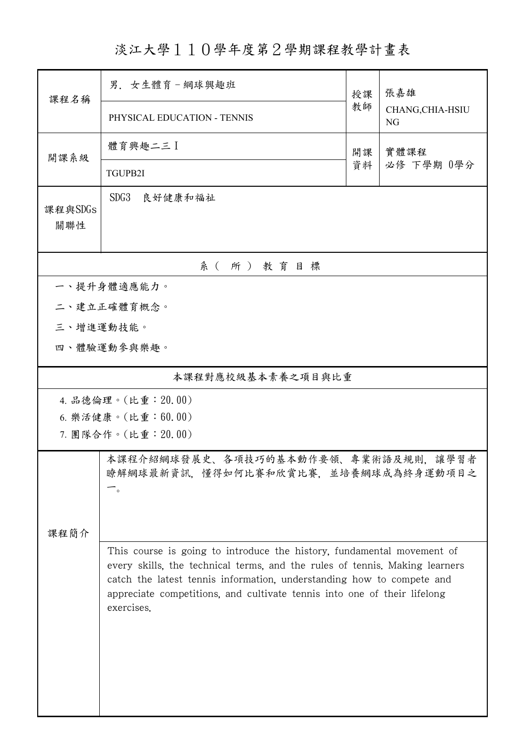淡江大學110學年度第2學期課程教學計畫表

| 課程名稱                | 男. 女生體育-網球興趣班                                                                         | 授課                                                                                                                                                                                                                               | 張嘉雄<br>CHANG, CHIA-HSIU<br>NG |  |  |  |  |  |
|---------------------|---------------------------------------------------------------------------------------|----------------------------------------------------------------------------------------------------------------------------------------------------------------------------------------------------------------------------------|-------------------------------|--|--|--|--|--|
|                     | PHYSICAL EDUCATION - TENNIS                                                           | 教師                                                                                                                                                                                                                               |                               |  |  |  |  |  |
| 開課系級                | 體育興趣二三 】                                                                              | 開課<br>資料                                                                                                                                                                                                                         | 實體課程<br>必修 下學期 0學分            |  |  |  |  |  |
|                     | TGUPB2I                                                                               |                                                                                                                                                                                                                                  |                               |  |  |  |  |  |
| 課程與SDGs<br>關聯性      | SDG3<br>良好健康和福祉                                                                       |                                                                                                                                                                                                                                  |                               |  |  |  |  |  |
| 系(所)教育目標            |                                                                                       |                                                                                                                                                                                                                                  |                               |  |  |  |  |  |
| 一、提升身體適應能力。         |                                                                                       |                                                                                                                                                                                                                                  |                               |  |  |  |  |  |
|                     | 二、建立正確體育概念。                                                                           |                                                                                                                                                                                                                                  |                               |  |  |  |  |  |
|                     | 三、增進運動技能。                                                                             |                                                                                                                                                                                                                                  |                               |  |  |  |  |  |
|                     | 四、體驗運動參與樂趣。                                                                           |                                                                                                                                                                                                                                  |                               |  |  |  |  |  |
| 本課程對應校級基本素養之項目與比重   |                                                                                       |                                                                                                                                                                                                                                  |                               |  |  |  |  |  |
| 4. 品德倫理。(比重: 20.00) |                                                                                       |                                                                                                                                                                                                                                  |                               |  |  |  |  |  |
|                     | 6. 樂活健康。(比重:60.00)                                                                    |                                                                                                                                                                                                                                  |                               |  |  |  |  |  |
|                     | 7. 團隊合作。(比重:20.00)                                                                    |                                                                                                                                                                                                                                  |                               |  |  |  |  |  |
| 課程簡介                | 本課程介紹網球發展史、各項技巧的基本動作要領、專業術語及規則,讓學習者<br>瞭解網球最新資訊,懂得如何比賽和欣賞比賽,並培養網球成為終身運動項目之<br>$\circ$ |                                                                                                                                                                                                                                  |                               |  |  |  |  |  |
|                     | This course is going to introduce the history, fundamental movement of                |                                                                                                                                                                                                                                  |                               |  |  |  |  |  |
|                     | exercises.                                                                            | every skills, the technical terms, and the rules of tennis. Making learners<br>catch the latest tennis information, understanding how to compete and<br>appreciate competitions, and cultivate tennis into one of their lifelong |                               |  |  |  |  |  |
|                     |                                                                                       |                                                                                                                                                                                                                                  |                               |  |  |  |  |  |
|                     |                                                                                       |                                                                                                                                                                                                                                  |                               |  |  |  |  |  |
|                     |                                                                                       |                                                                                                                                                                                                                                  |                               |  |  |  |  |  |
|                     |                                                                                       |                                                                                                                                                                                                                                  |                               |  |  |  |  |  |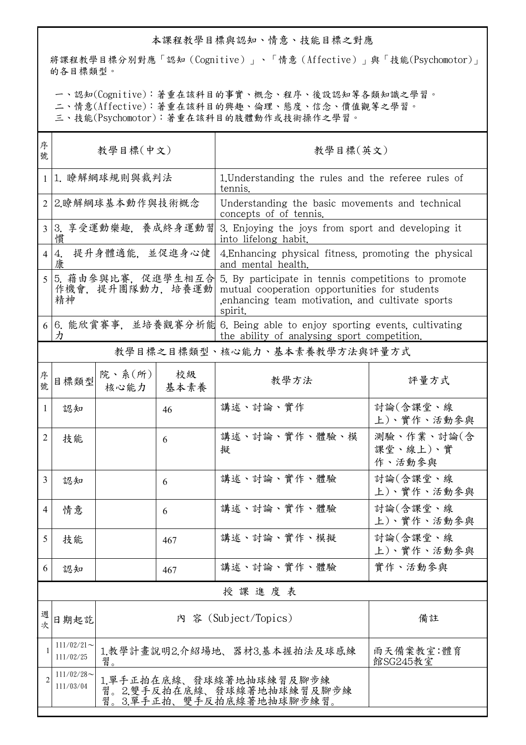## 本課程教學目標與認知、情意、技能目標之對應

將課程教學目標分別對應「認知(Cognitive)」、「情意(Affective)」與「技能(Psychomotor)」 的各目標類型。

一、認知(Cognitive):著重在該科目的事實、概念、程序、後設認知等各類知識之學習。

二、情意(Affective):著重在該科目的興趣、倫理、態度、信念、價值觀等之學習。

三、技能(Psychomotor):著重在該科目的肢體動作或技術操作之學習。

| 序<br>號         | 教學目標(中文)                                      |                                                                                                                      |            | 教學目標(英文)                                                                                                                                                           |                                  |  |  |
|----------------|-----------------------------------------------|----------------------------------------------------------------------------------------------------------------------|------------|--------------------------------------------------------------------------------------------------------------------------------------------------------------------|----------------------------------|--|--|
| $\mathbf{1}$   | 1. 瞭解網球規則與裁判法                                 |                                                                                                                      |            | 1. Understanding the rules and the referee rules of<br>tennis.                                                                                                     |                                  |  |  |
| $\mathfrak{D}$ | 2.瞭解網球基本動作與技術概念                               |                                                                                                                      |            | Understanding the basic movements and technical<br>concepts of of tennis.                                                                                          |                                  |  |  |
| $\overline{3}$ | 3. 享受運動樂趣, 養成終身運動習<br>慣                       |                                                                                                                      |            | 3. Enjoying the joys from sport and developing it<br>into lifelong habit.                                                                                          |                                  |  |  |
| 4              | 提升身體適能. 並促進身心健<br>4.<br>康                     |                                                                                                                      |            | 4. Enhancing physical fitness, promoting the physical<br>and mental health.                                                                                        |                                  |  |  |
|                | 5. 藉由參與比賽, 促進學生相互合<br>作機會, 提升團隊動力, 培養運動<br>精神 |                                                                                                                      |            | 5. By participate in tennis competitions to promote<br>mutual cooperation opportunities for students<br>enhancing team motivation, and cultivate sports<br>spirit. |                                  |  |  |
| 6              | 力                                             | 6. 能欣賞賽事,並培養觀賽分析能 6. Being able to enjoy sporting events, cultivating<br>the ability of analysing sport competition. |            |                                                                                                                                                                    |                                  |  |  |
|                |                                               |                                                                                                                      |            | 教學目標之目標類型、核心能力、基本素養教學方法與評量方式                                                                                                                                       |                                  |  |  |
| 序號             | 目標類型                                          | 院、系(所)<br>核心能力                                                                                                       | 校級<br>基本素養 | 教學方法                                                                                                                                                               | 評量方式                             |  |  |
| 1              | 認知                                            |                                                                                                                      | 46         | 講述、討論、實作                                                                                                                                                           | 討論(含課堂、線<br>上)、實作、活動參與           |  |  |
| 2              | 技能                                            |                                                                                                                      | 6          | 講述、討論、實作、體驗、模<br>擬                                                                                                                                                 | 測驗、作業、討論(含<br>課堂、線上)、實<br>作、活動參與 |  |  |
| 3              | 認知                                            |                                                                                                                      | 6          | 講述、討論、實作、體驗                                                                                                                                                        | 討論(含課堂、線<br>上)、實作、活動參與           |  |  |
| 4              | 情意                                            |                                                                                                                      | 6          | 講述、討論、實作、體驗                                                                                                                                                        | 討論(含課堂、線<br>上)、實作、活動參與           |  |  |
| 5              | 技能                                            |                                                                                                                      | 467        | 講述、討論、實作、模擬                                                                                                                                                        | 討論(含課堂、線<br>上)、實作、活動參與           |  |  |
| 6              | 認知                                            |                                                                                                                      | 467        | 講述、討論、實作、體驗                                                                                                                                                        | 實作、活動參與                          |  |  |
|                | 授課進度表                                         |                                                                                                                      |            |                                                                                                                                                                    |                                  |  |  |
| 週次             | 日期起訖                                          |                                                                                                                      |            | 內 容 (Subject/Topics)                                                                                                                                               | 備註                               |  |  |
|                | $111/02/21$ ~<br>111/02/25                    | 1.教學計畫說明2.介紹場地、器材3.基本握拍法及球感練<br>雨天備案教室:體育<br>習。<br>館SG245教室                                                          |            |                                                                                                                                                                    |                                  |  |  |
|                | $111/02/28$ ~<br>111/03/04                    | 1.單手正拍在底線、發球線著地抽球練習及腳步練<br>習。2.雙手反拍在底線、發球線著地抽球練習及腳步練<br>習。3.單手正拍、雙手反拍底線著地抽球腳步練習。                                     |            |                                                                                                                                                                    |                                  |  |  |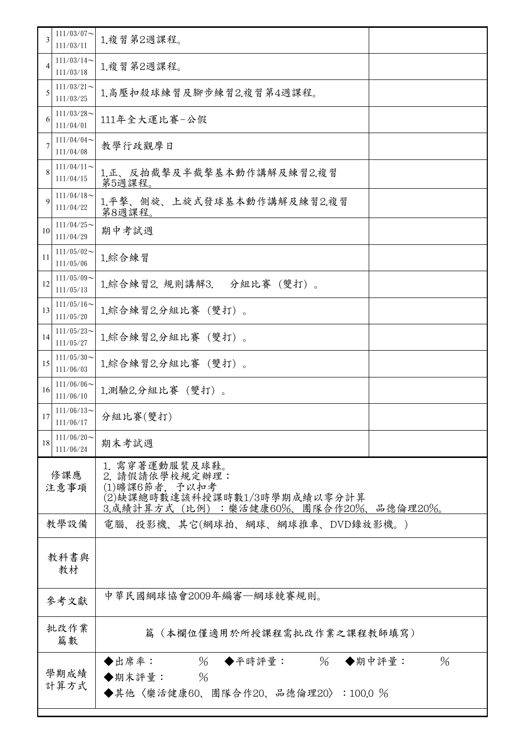| 3              | $111/03/07$ ~<br>111/03/11 | 1.複習第2週課程。                                                                                                                  |  |  |  |
|----------------|----------------------------|-----------------------------------------------------------------------------------------------------------------------------|--|--|--|
| $\overline{4}$ | $111/03/14$ ~<br>111/03/18 | 1.複習第2週課程。                                                                                                                  |  |  |  |
| 5              | $111/03/21$ ~<br>111/03/25 | 1.高壓扣殺球練習及腳步練習2.複習第4週課程。                                                                                                    |  |  |  |
| 6              | $111/03/28$ ~<br>111/04/01 | 111年全大運比賽-公假                                                                                                                |  |  |  |
|                | $111/04/04$ ~<br>111/04/08 | 教學行政觀摩日                                                                                                                     |  |  |  |
| 8              | $111/04/11$ ~<br>111/04/15 | 1.正、反拍截擊及半截擊基本動作講解及練習2.複習<br>第5週課程。                                                                                         |  |  |  |
| $\mathbf Q$    | $111/04/18$ ~<br>111/04/22 | 1.平擊、側旋、上旋式發球基本動作講解及練習2.複習<br>第8週課程。                                                                                        |  |  |  |
| 10             | $111/04/25$ ~<br>111/04/29 | 期中考試週                                                                                                                       |  |  |  |
| 11             | $111/05/02$ ~<br>111/05/06 | 1.綜合練習                                                                                                                      |  |  |  |
| 12             | $111/05/09$ ~<br>111/05/13 | 1.綜合練習2. 規則講解3.<br>分組比賽 (雙打)。                                                                                               |  |  |  |
| 13             | $111/05/16$ ~<br>111/05/20 | 1.綜合練習2.分組比賽 (雙打)。                                                                                                          |  |  |  |
| 14             | $111/05/23$ ~<br>111/05/27 | 1.綜合練習2.分組比賽 (雙打)。                                                                                                          |  |  |  |
| 15             | $111/05/30$ ~<br>111/06/03 | 1.綜合練習2.分組比賽 (雙打)。                                                                                                          |  |  |  |
| 16             | $111/06/06$ ~<br>111/06/10 | 1.測驗2.分組比賽 (雙打)。                                                                                                            |  |  |  |
| 17             | $111/06/13$ ~<br>111/06/17 | 分組比賽(雙打)                                                                                                                    |  |  |  |
| 18             | $111/06/20$ ~<br>111/06/24 | 期末考試週                                                                                                                       |  |  |  |
| 修課應<br>注意事項    |                            | 1. 需穿著運動服裝及球鞋。<br>2. 請假請依學校規定辦理:<br>(1)曠課6節者, 予以扣考<br>(2)缺課總時數達該科授課時數1/3時學期成績以零分計算<br>3.成績計算方式(比例):樂活健康60%、團隊合作20%、品德倫理20%。 |  |  |  |
| 教學設備           |                            | 電腦、投影機、其它(網球拍、網球、網球推車、DVD錄放影機。)                                                                                             |  |  |  |
| 教科書與<br>教材     |                            |                                                                                                                             |  |  |  |
| 參考文獻           |                            | 中華民國網球協會2009年編審—網球競賽規則。                                                                                                     |  |  |  |
| 批改作業<br>篇數     |                            | 篇(本欄位僅適用於所授課程需批改作業之課程教師填寫)                                                                                                  |  |  |  |
|                | 學期成績<br>計算方式               | $\%$<br>◆平時評量: %<br>$\%$<br>◆出席率:<br>◆期中評量:<br>$\frac{0}{6}$<br>◆期末評量:<br>◆其他〈樂活健康60、團隊合作20、品德倫理20〉:100.0 %                 |  |  |  |